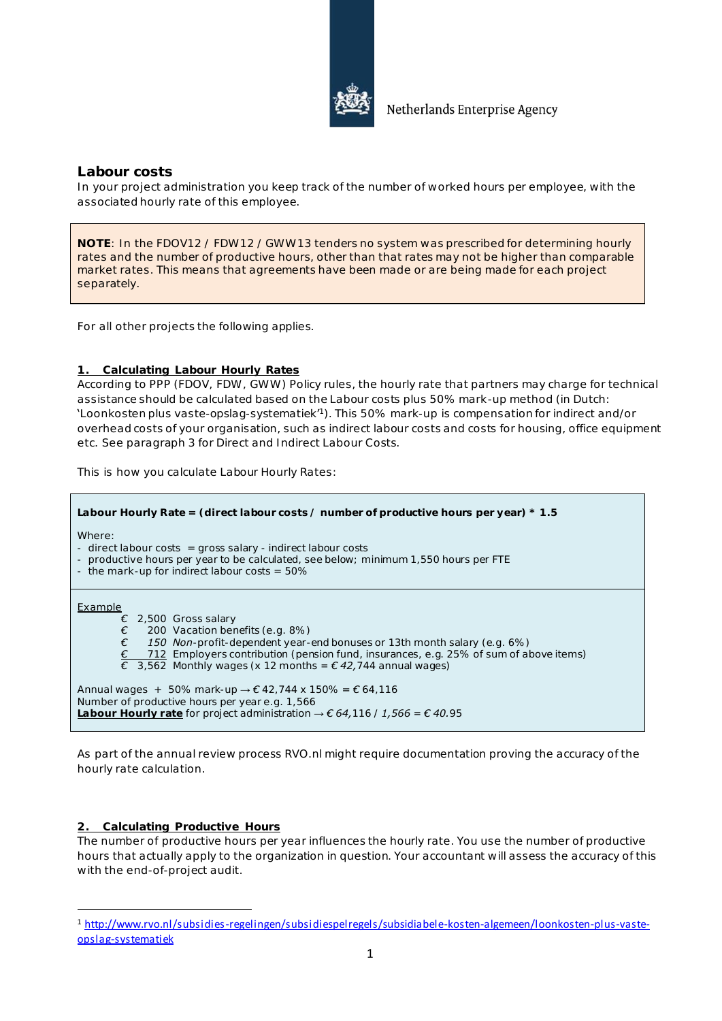

**Labour costs**

In your project administration you keep track of the number of worked hours per employee, with the associated hourly rate of this employee.

**NOTE**: In the FDOV12 / FDW12 / GWW13 tenders no system was prescribed for determining hourly rates and the number of productive hours, other than that rates may not be higher than comparable market rates. This means that agreements have been made or are being made for each project separately.

For all other projects the following applies.

## **1. Calculating Labour Hourly Rates**

According to PPP (FDOV, FDW , GWW) Policy rules, the hourly rate that partners may charge for technical assistance should be calculated based on the Labour costs plus 50% mark-up method (in Dutch: 'Loonkosten plus vaste-opslag-systematiek' <sup>1</sup>). This 50% mark-up is compensation for indirect and/or overhead costs of your organisation, such as indirect labour costs and costs for housing, office equipment etc. See paragraph 3 for Direct and Indirect Labour Costs.

This is how you calculate Labour Hourly Rates:

| Labour Hourly Rate = (direct labour costs / number of productive hours per year) $*$ 1.5                                                                                                                                                                                                                                        |  |  |
|---------------------------------------------------------------------------------------------------------------------------------------------------------------------------------------------------------------------------------------------------------------------------------------------------------------------------------|--|--|
| Where:<br>- direct labour costs $=$ gross salary - indirect labour costs<br>- productive hours per year to be calculated, see below; minimum 1,550 hours per FTE<br>- the mark-up for indirect labour costs = $50\%$                                                                                                            |  |  |
| Example<br>$\epsilon$ 2,500 Gross salary<br>€<br>200 Vacation benefits (e.g. 8%)<br>€<br>150 Non-profit-dependent year-end bonuses or 13th month salary (e.g. $6\%$ )<br>712 Employers contribution (pension fund, insurances, e.g. 25% of sum of above items)<br>€ 3,562 Monthly wages (x 12 months = $€$ 42,744 annual wages) |  |  |
| Annual wages + 50% mark-up $\rightarrow \epsilon$ 42,744 x 150% = $\epsilon$ 64,116<br>Number of productive hours per year e.g. 1,566<br>Labour Hourly rate for project administration $\rightarrow \epsilon$ 64, 116 / 1, 566 = $\epsilon$ 40.95                                                                               |  |  |

As part of the annual review process RVO.nl might require documentation proving the accuracy of the hourly rate calculation.

## **2. Calculating Productive Hours**

 $\overline{a}$ 

The number of productive hours per year influences the hourly rate. You use the number of productive hours that actually apply to the organization in question. Your accountant will assess the accuracy of this with the end-of-project audit.

<sup>1</sup> [http://www.rvo.nl/subsidies-regelingen/subsidiespelregels/subsidiabele-kosten-algemeen/loonkosten-plus-vaste](http://www.rvo.nl/subsidies-regelingen/subsidiespelregels/subsidiabele-kosten-algemeen/loonkosten-plus-vaste-opslag-systematiek)[opslag-systematiek](http://www.rvo.nl/subsidies-regelingen/subsidiespelregels/subsidiabele-kosten-algemeen/loonkosten-plus-vaste-opslag-systematiek)